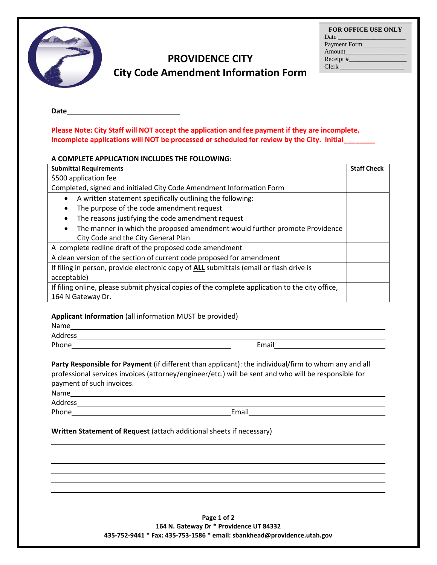| <b>FOR OFFICE USE ONLY</b> |
|----------------------------|
|                            |
| Payment Form               |
| Amount                     |
| Receipt $#$                |
| Clerk                      |



# **PROVIDENCE CITY City Code Amendment Information Form**

#### **Date**

**Please Note: City Staff will NOT accept the application and fee payment if they are incomplete. Incomplete applications will NOT be processed or scheduled for review by the City. Initial\_\_\_\_\_\_\_\_** 

#### **A COMPLETE APPLICATION INCLUDES THE FOLLOWING**:

| <b>Submittal Requirements</b>                                                                   | <b>Staff Check</b> |
|-------------------------------------------------------------------------------------------------|--------------------|
| \$500 application fee                                                                           |                    |
| Completed, signed and initialed City Code Amendment Information Form                            |                    |
| A written statement specifically outlining the following:                                       |                    |
| The purpose of the code amendment request                                                       |                    |
| The reasons justifying the code amendment request                                               |                    |
| The manner in which the proposed amendment would further promote Providence                     |                    |
| City Code and the City General Plan                                                             |                    |
| A complete redline draft of the proposed code amendment                                         |                    |
| A clean version of the section of current code proposed for amendment                           |                    |
| If filing in person, provide electronic copy of ALL submittals (email or flash drive is         |                    |
| acceptable)                                                                                     |                    |
| If filing online, please submit physical copies of the complete application to the city office, |                    |
| 164 N Gateway Dr.                                                                               |                    |

### **Applicant Information** (all information MUST be provided)

| Name    |  |
|---------|--|
| Address |  |

Phone **Email Email Email Email** 

**Party Responsible for Payment** (if different than applicant): the individual/firm to whom any and all professional services invoices (attorney/engineer/etc.) will be sent and who will be responsible for payment of such invoices.

Address

Phone **Email** 

## **Written Statement of Request** (attach additional sheets if necessary)

**Page 1 of 2 164 N. Gateway Dr \* Providence UT 84332 435-752-9441 \* Fax: 435-753-1586 \* email: sbankhead@providence.utah.gov**